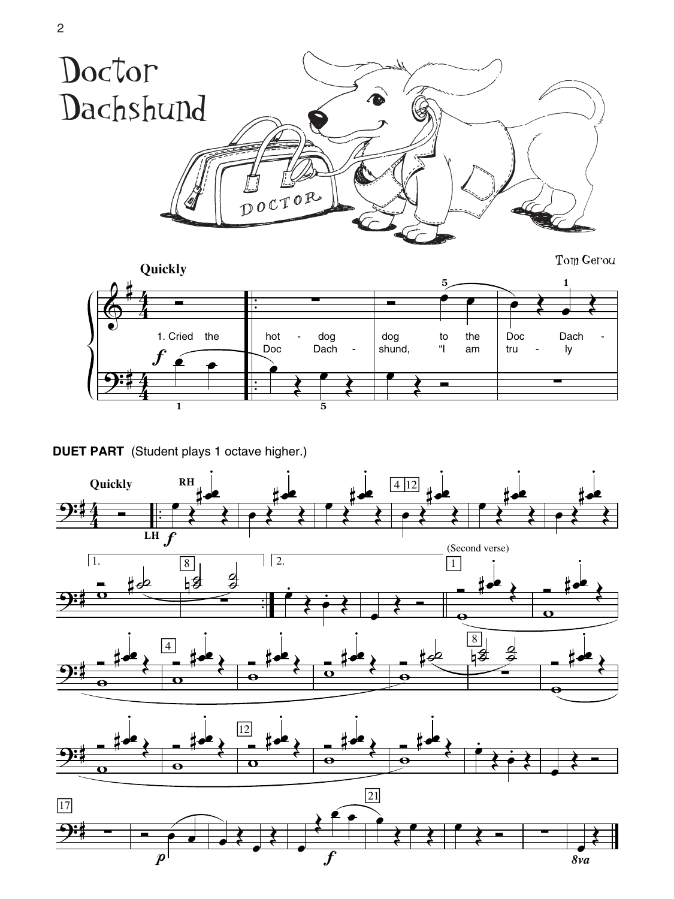

Tom Gerou



**DUET PART** (Student plays 1 octave higher.)

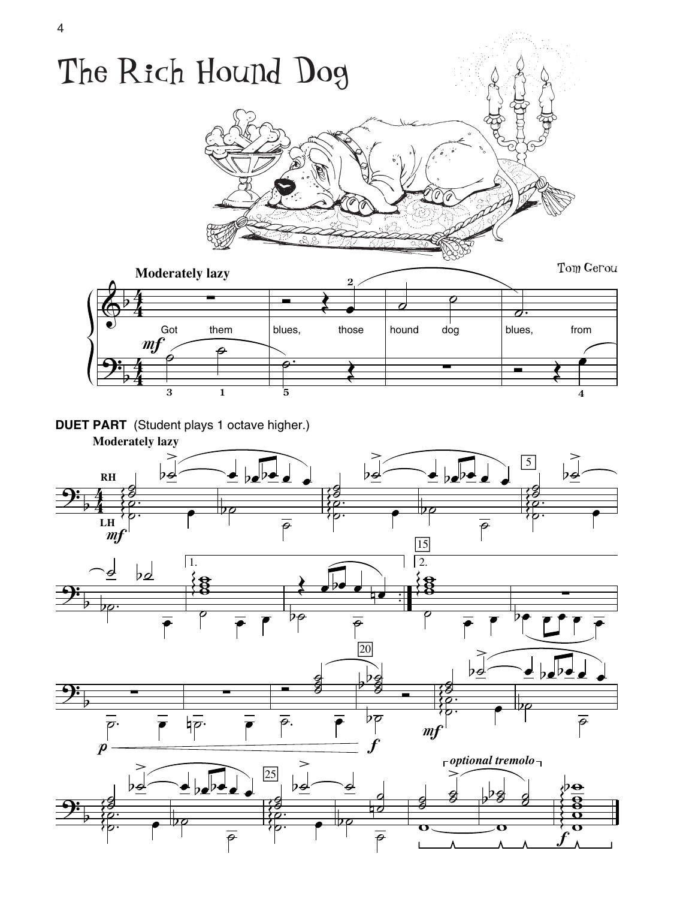

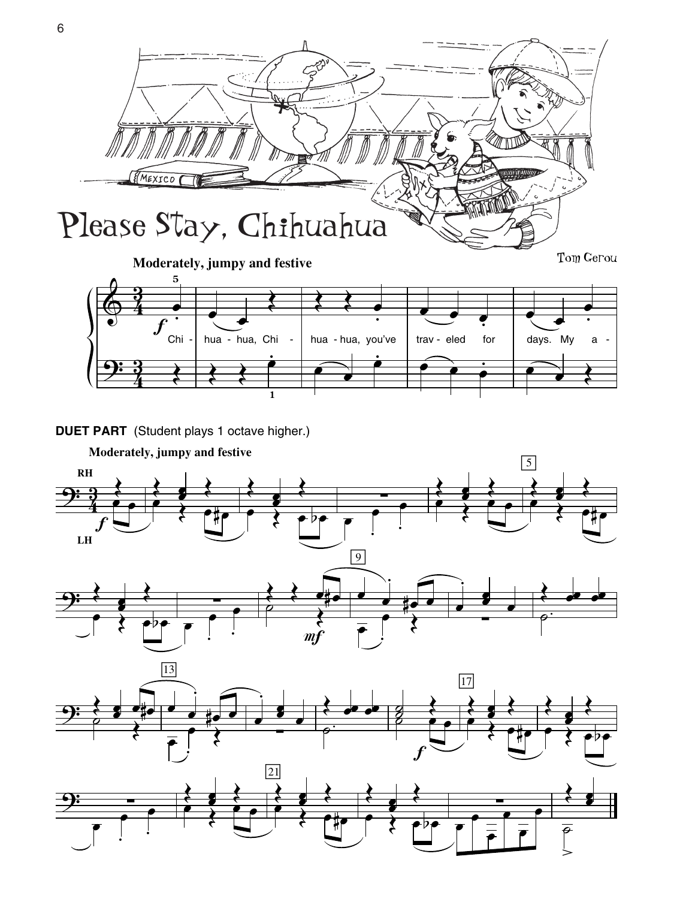

**DUET PART** (Student plays 1 octave higher.)

**1**

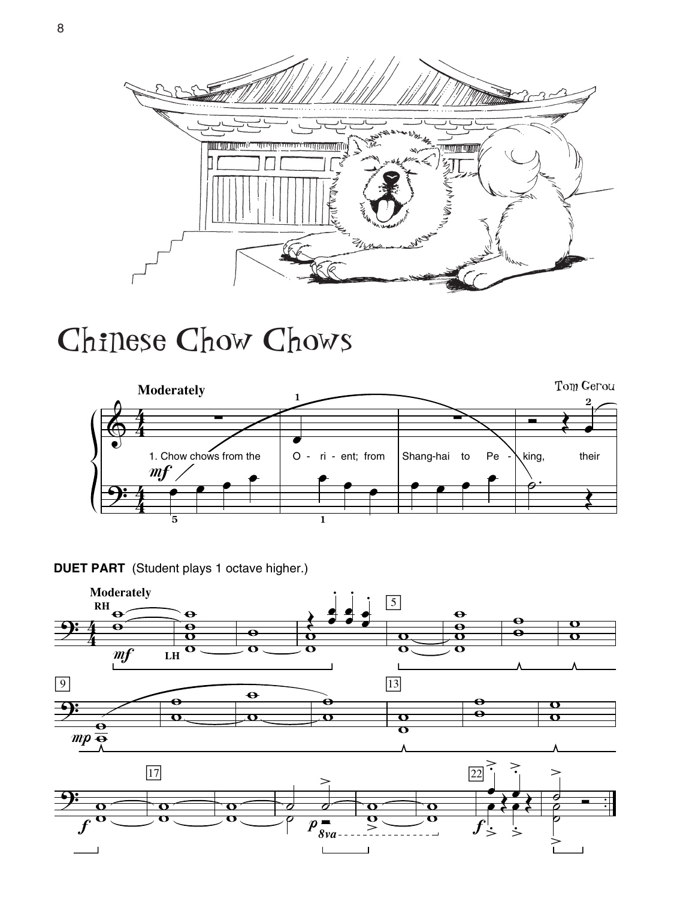

## Chinese Chow Chows





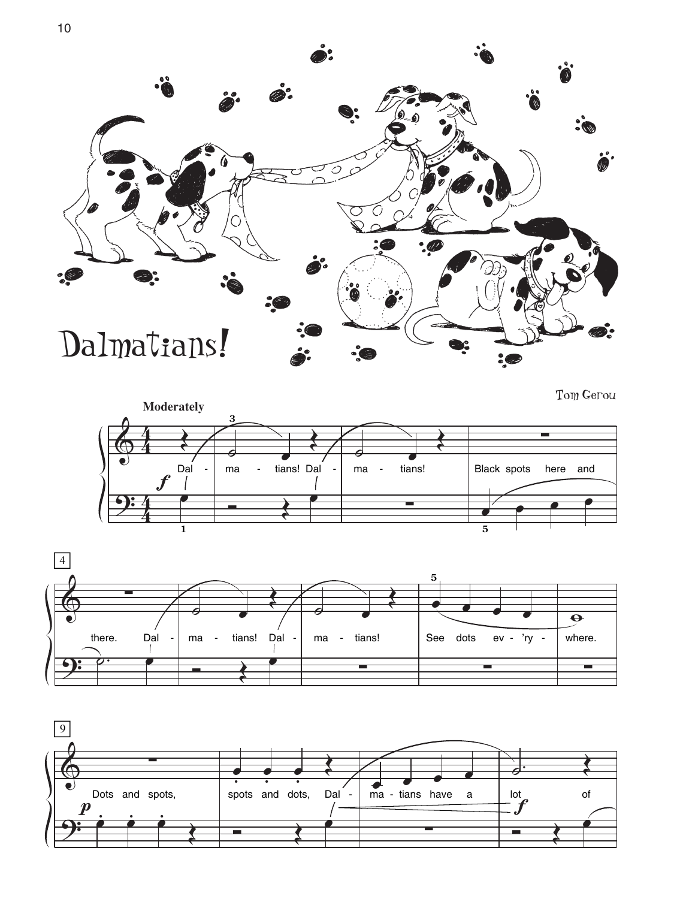





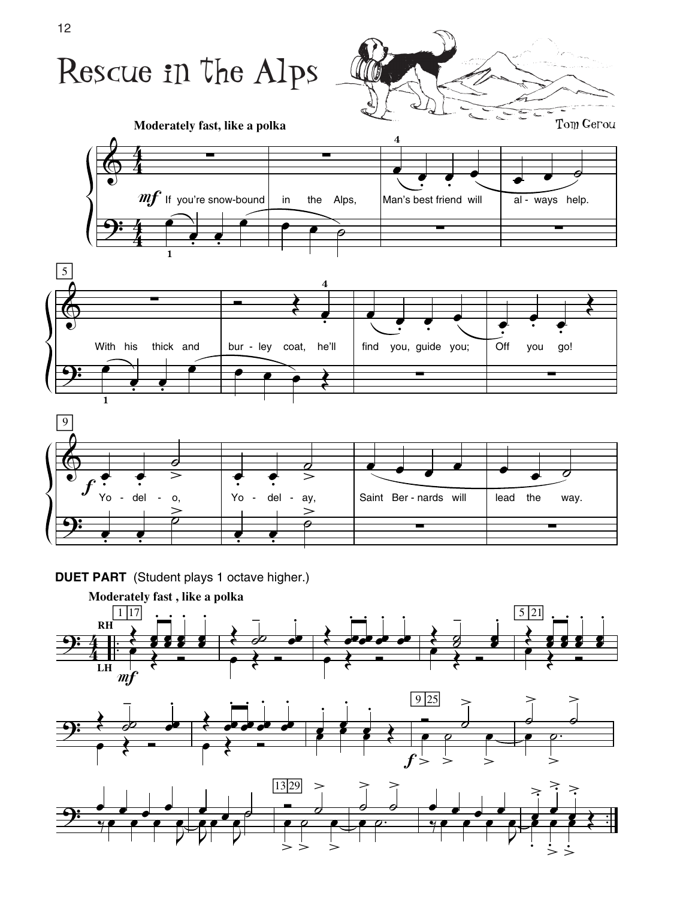

**DUET PART** (Student plays 1 octave higher.)